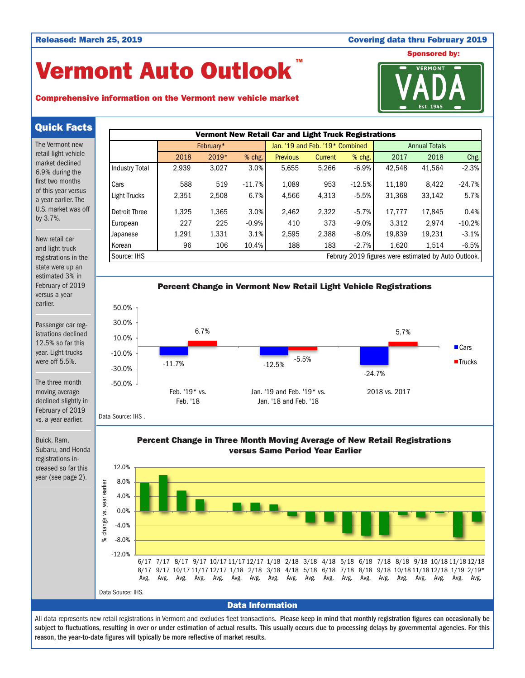### Released: March 25, 2019 Covering data thru February 2019

# Vermont Auto Outlook TM

# Comprehensive information on the Vermont new vehicle market



Quick Facts

The Vermont new retail light vehicle market declined 6.9% during the first two months of this year versus a year earlier. The U.S. market was off by 3.7%.

New retail car and light truck registrations in the state were up an estimated 3% in February of 2019 versus a year earlier.

Passenger car registrations declined 12.5% so far this year. Light trucks were off 5.5%.

The three month moving average declined slightly in February of 2019 vs. a year earlier.

Buick, Ram, Subaru, and Honda registrations increased so far this year (see page 2).





Data Source: IHS .

Percent Change in Three Month Moving Average of New Retail Registrations versus Same Period Year Earlier



# Data Information

All data represents new retail registrations in Vermont and excludes fleet transactions. Please keep in mind that monthly registration figures can occasionally be subject to fluctuations, resulting in over or under estimation of actual results. This usually occurs due to processing delays by governmental agencies. For this reason, the year-to-date figures will typically be more reflective of market results.